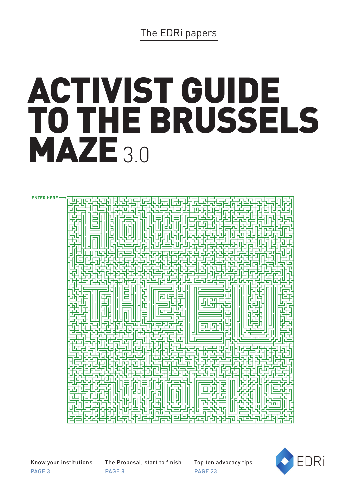### The EDRi papers

# ACTIVIST GUIDE TO THE BRUSSELS MAZE<sub>3.0</sub>

**ENTER HERE**



Know your institutions PAGE 3

The Proposal, start to finish PAGE 8

Top ten advocacy tips PAGE 23

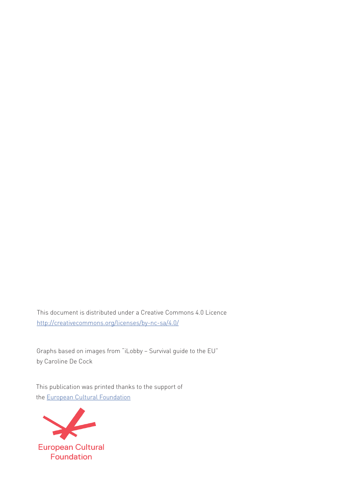This document is distributed under a Creative Commons 4.0 Licence [http://creativecommons.org/licenses/by-nc-sa/4.0/](http://)

Graphs based on images from "iLobby – Survival guide to the EU" by Caroline De Cock

This publication was printed thanks to the support of the [European Cultural Foundation](http://European Cultural Foundation)

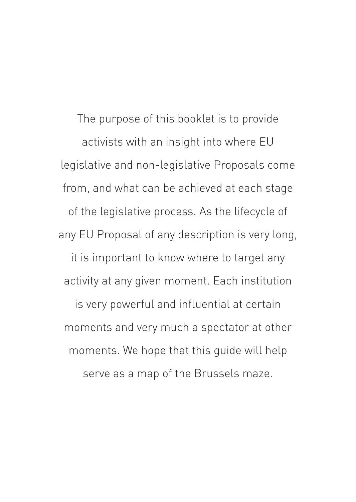The purpose of this booklet is to provide activists with an insight into where EU legislative and non-legislative Proposals come from, and what can be achieved at each stage of the legislative process. As the lifecycle of any EU Proposal of any description is very long, it is important to know where to target any activity at any given moment. Each institution is very powerful and influential at certain moments and very much a spectator at other moments. We hope that this guide will help serve as a map of the Brussels maze.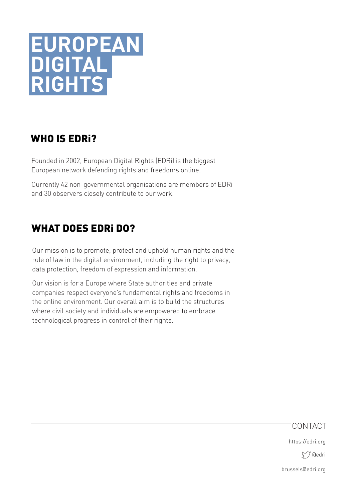## **EUROPEAN DIGITAL RIGHTS**

### WHO IS EDRi?

Founded in 2002, European Digital Rights (EDRi) is the biggest European network defending rights and freedoms online.

Currently 42 non-governmental organisations are members of EDRi and 30 observers closely contribute to our work.

### WHAT DOES EDRi DO?

Our mission is to promote, protect and uphold human rights and the rule of law in the digital environment, including the right to privacy, data protection, freedom of expression and information.

Our vision is for a Europe where State authorities and private companies respect everyone's fundamental rights and freedoms in the online environment. Our overall aim is to build the structures where civil society and individuals are empowered to embrace technological progress in control of their rights.

#### CONTACT

https://edri.org

t/ dedri

brussels@edri.org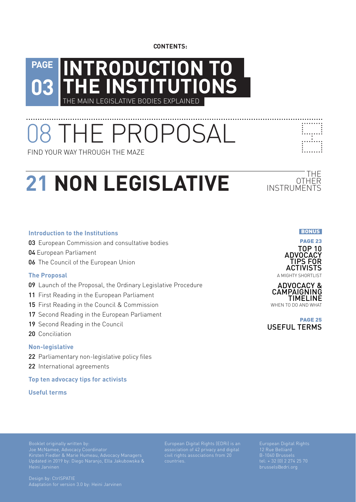**CONTENTS:**

#### **[03](#page-5-1) [INTRODUCTION TO](#page-5-0)  E INSTITUTIONS** THE MAIN LEGISLATIVE BODIES EXPLAINED **PAGE**

[08 THE PROPOSAL](#page-10-0)

FIND YOUR WAY THROUGH THE MAZE

## **[21 NON LEGISLATIVE](#page-24-0)** INSTRUMENTS

#### **[Introduction to the Institutions](#page-5-0)**

- 03 [European Commission and consultative bodies](#page-5-0)
- 04 [European Parliament](#page-6-0)
- 0[6](#page-8-0) The Council of the European Union

#### **[The Proposal](#page-11-0)**

- 09 [Launch of the Proposal, the O](#page-11-0)rdinary Legislative Procedure
- 11 [First Reading in the European Parliament](#page-13-0)
- 15 [First Reading in the Council & Commission](#page-17-0)
- 17 [Second Reading in the European Parliament](#page-19-0)
- 19 [Second Reading in the Council](#page-21-0)
- 20 [Conciliation](#page-22-0)

#### **[Non-legislative](#page-24-0)**

- 22 [Parliamentary non-legislative](#page-24-0) policy files
- 22 [International agreements](#page-24-0)

**[Top ten advocacy tips for activists](#page-25-0)**

**Useful terms**



— THE<br>OTHER

**.......** 1...<sub>.</sub>...1 . . . . . . . . :.......<u>:</u>





USEFUL TERMS PAGE [25](#page-27-0)

Booklet originally written by: Joe McNamee, Advocacy Coordinator Kirsten Fiedler & Marie Humeau, Advocacy Managers Updated in 2019 by: Diego Naranjo, Ella Jakubowska & Heini Jarvinen

Design by: CtrlSPATIE Adaptation for version 3.0 by: Heini Jarvinen

[European Digital Rights \(EDRi\)](http://edri.org) is an association of 42 privacy and digital civil rights associations from 20 countries.

European Digital Rights 12 Rue Belliard B-1040 Brussels tel: + 32 (0) 2 274 25 70 [brussels@edri.org](mailto:brussels%40edri.org?subject=)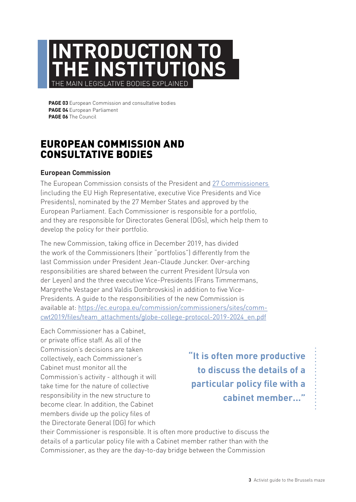## <span id="page-5-1"></span><span id="page-5-0"></span>**INTRODUCTION TO THE INSTITUTIONS** THE MAIN LEGISLATIVE BODIES EXPLAINED

**PAGE 03** [European Commission and consultative bodies](#page-5-2) **PAGE 04** [European Parliament](#page-6-1) **PAGE 06** [The Council](#page-8-1)

### <span id="page-5-2"></span>EUROPEAN COMMISSION AND CONSULTATIVE BODIES

#### **European Commission**

The European Commission consists of the President and [27 Commissioners](https://ec.europa.eu/commission/commissioners/sites/comm-cwt2019/files/team_attachments/allocation-portfolios-supporting-services_en_0.pdf)  (including the EU High Representative, executive Vice Presidents and Vice Presidents), nominated by the 27 Member States and approved by the European Parliament. Each Commissioner is responsible for a portfolio, and they are responsible for Directorates General (DGs), which help them to develop the policy for their portfolio.

The new Commission, taking office in December 2019, has divided the work of the Commissioners (their "portfolios") differently from the last Commission under President Jean-Claude Juncker. Over-arching responsibilities are shared between the current President (Ursula von der Leyen) and the three executive Vice-Presidents (Frans Timmermans, Margrethe Vestager and Valdis Dombrovskis) in addition to five Vice-Presidents. A guide to the responsibilities of the new Commission is available at: [https://ec.europa.eu/commission/commissioners/sites/comm](https://ec.europa.eu/commission/commissioners/sites/comm-cwt2019/files/team_attachments/globe-college-protocol-2019-2024_en.pdf)[cwt2019/files/team\\_attachments/globe-college-protocol-2019-2024\\_en.pdf](https://ec.europa.eu/commission/commissioners/sites/comm-cwt2019/files/team_attachments/globe-college-protocol-2019-2024_en.pdf)

Each Commissioner has a Cabinet, or private office staff. As all of the Commission's decisions are taken collectively, each Commissioner's Cabinet must monitor all the Commission's activity - although it will take time for the nature of collective responsibility in the new structure to become clear. In addition, the Cabinet members divide up the policy files of the Directorate General (DG) for which

**"It is often more productive to discuss the details of a particular policy file with a cabinet member..."**

their Commissioner is responsible. It is often more productive to discuss the details of a particular policy file with a Cabinet member rather than with the Commissioner, as they are the day-to-day bridge between the Commission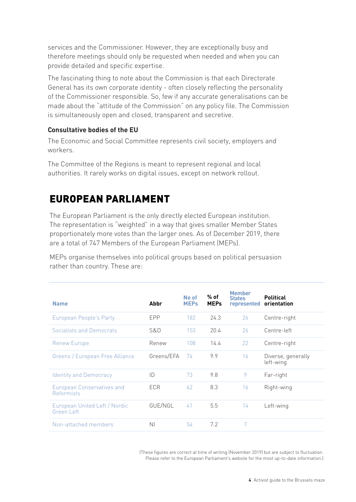<span id="page-6-0"></span>services and the Commissioner. However, they are exceptionally busy and therefore meetings should only be requested when needed and when you can provide detailed and specific expertise.

The fascinating thing to note about the Commission is that each Directorate General has its own corporate identity - often closely reflecting the personality of the Commissioner responsible. So, few if any accurate generalisations can be made about the "attitude of the Commission" on any policy file. The Commission is simultaneously open and closed, transparent and secretive.

#### **Consultative bodies of the EU**

The Economic and Social Committee represents civil society, employers and workers.

The Committee of the Regions is meant to represent regional and local authorities. It rarely works on digital issues, except on network rollout.

### <span id="page-6-1"></span>EUROPEAN PARLIAMENT

The European Parliament is the only directly elected European institution. The representation is "weighted" in a way that gives smaller Member States proportionately more votes than the larger ones. As of December 2019, there are a total of 747 Members of the European Parliament (MEPs).

MEPs organise themselves into political groups based on political persuasion rather than country. These are:

| <b>Name</b>                                            | Abbr           | No of<br><b>MEPs</b> | $%$ of<br><b>MEPs</b> | <b>Member</b><br><b>States</b><br>represented | <b>Political</b><br>orientation |
|--------------------------------------------------------|----------------|----------------------|-----------------------|-----------------------------------------------|---------------------------------|
| European People's Party                                | <b>FPP</b>     | 182                  | 24.3                  | 26                                            | Centre-right                    |
| Socialists and Democrats                               | S&D            | 153                  | 20.4                  | 26                                            | Centre-left                     |
| Renew Europe                                           | Renew          | 108                  | 14.4                  | 22                                            | Centre-right                    |
| Greens / European Free Alliance                        | Greens/EFA     | 74                   | 9.9                   | 16                                            | Diverse, generally<br>left-wing |
| <b>Identity and Democracy</b>                          | ID             | 73                   | 9.8                   | 9                                             | Far-right                       |
| <b>European Conservatives and</b><br><b>Reformists</b> | <b>FCR</b>     | 62                   | 8.3                   | 16                                            | Right-wing                      |
| European United Left / Nordic<br>Green Left            | GUE/NGL        | 41                   | 5.5                   | 14                                            | Left-wing                       |
| Non-attached members                                   | N <sub>1</sub> | 54                   | 7.2                   | 7                                             |                                 |

(These figures are correct at time of writing (November 2019) but are subject to fluctuation. Please refer to the European Parliament's website for the most up-to-date information.)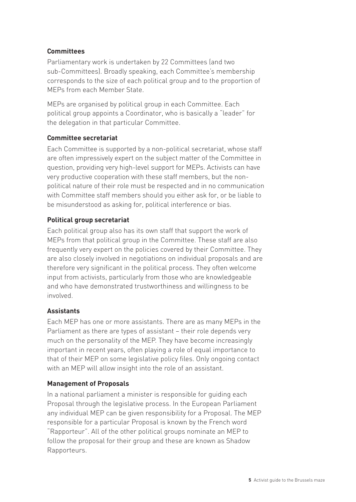#### **Committees**

Parliamentary work is undertaken by 22 Committees (and two sub-Committees). Broadly speaking, each Committee's membership corresponds to the size of each political group and to the proportion of MEPs from each Member State.

MEPs are organised by political group in each Committee. Each political group appoints a Coordinator, who is basically a "leader" for the delegation in that particular Committee.

#### **Committee secretariat**

Each Committee is supported by a non-political secretariat, whose staff are often impressively expert on the subject matter of the Committee in question, providing very high-level support for MEPs. Activists can have very productive cooperation with these staff members, but the nonpolitical nature of their role must be respected and in no communication with Committee staff members should you either ask for, or be liable to be misunderstood as asking for, political interference or bias.

#### **Political group secretariat**

Each political group also has its own staff that support the work of MEPs from that political group in the Committee. These staff are also frequently very expert on the policies covered by their Committee. They are also closely involved in negotiations on individual proposals and are therefore very significant in the political process. They often welcome input from activists, particularly from those who are knowledgeable and who have demonstrated trustworthiness and willingness to be involved.

#### **Assistants**

Each MEP has one or more assistants. There are as many MEPs in the Parliament as there are types of assistant – their role depends very much on the personality of the MEP. They have become increasingly important in recent years, often playing a role of equal importance to that of their MEP on some legislative policy files. Only ongoing contact with an MEP will allow insight into the role of an assistant.

#### **Management of Proposals**

In a national parliament a minister is responsible for guiding each Proposal through the legislative process. In the European Parliament any individual MEP can be given responsibility for a Proposal. The MEP responsible for a particular Proposal is known by the French word "Rapporteur". All of the other political groups nominate an MEP to follow the proposal for their group and these are known as Shadow Rapporteurs.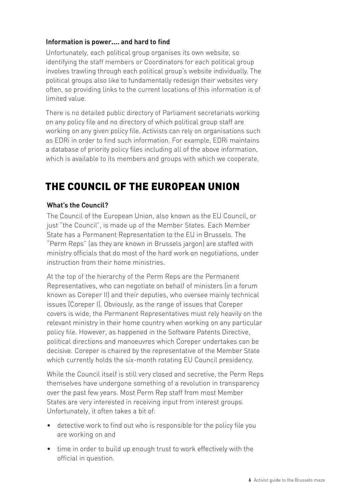#### <span id="page-8-0"></span>**Information is power.... and hard to find**

Unfortunately, each political group organises its own website, so identifying the staff members or Coordinators for each political group involves trawling through each political group's website individually. The political groups also like to fundamentally redesign their websites very often, so providing links to the current locations of this information is of limited value.

There is no detailed public directory of Parliament secretariats working on any policy file and no directory of which political group staff are working on any given policy file. Activists can rely on organisations such as EDRi in order to find such information. For example, EDRi maintains a database of priority policy files including all of the above information, which is available to its members and groups with which we cooperate.

### <span id="page-8-1"></span>THE COUNCIL OF THE EUROPEAN UNION

#### **What's the Council?**

The Council of the European Union, also known as the EU Council, or just "the Council", is made up of the Member States. Each Member State has a Permanent Representation to the EU in Brussels. The "Perm Reps" (as they are known in Brussels jargon) are staffed with ministry officials that do most of the hard work on negotiations, under instruction from their home ministries.

At the top of the hierarchy of the Perm Reps are the Permanent Representatives, who can negotiate on behalf of ministers (in a forum known as Coreper II) and their deputies, who oversee mainly technical issues (Coreper I). Obviously, as the range of issues that Coreper covers is wide, the Permanent Representatives must rely heavily on the relevant ministry in their home country when working on any particular policy file. However, as happened in the Software Patents Directive, political directions and manoeuvres which Coreper undertakes can be decisive. Coreper is chaired by the representative of the Member State which currently holds the six-month rotating EU Council presidency.

While the Council itself is still very closed and secretive, the Perm Reps themselves have undergone something of a revolution in transparency over the past few years. Most Perm Rep staff from most Member States are very interested in receiving input from interest groups. Unfortunately, it often takes a bit of:

- detective work to find out who is responsible for the policy file you are working on and
- time in order to build up enough trust to work effectively with the official in question.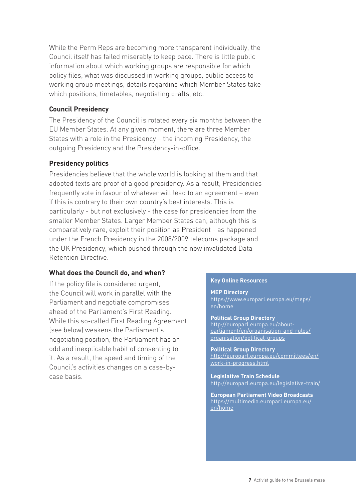While the Perm Reps are becoming more transparent individually, the Council itself has failed miserably to keep pace. There is little public information about which working groups are responsible for which policy files, what was discussed in working groups, public access to working group meetings, details regarding which Member States take which positions, timetables, negotiating drafts, etc.

#### **Council Presidency**

The Presidency of the Council is rotated every six months between the EU Member States. At any given moment, there are three Member States with a role in the Presidency – the incoming Presidency, the outgoing Presidency and the Presidency-in-office.

#### **Presidency politics**

Presidencies believe that the whole world is looking at them and that adopted texts are proof of a good presidency. As a result, Presidencies frequently vote in favour of whatever will lead to an agreement – even if this is contrary to their own country's best interests. This is particularly - but not exclusively - the case for presidencies from the smaller Member States. Larger Member States can, although this is comparatively rare, exploit their position as President - as happened under the French Presidency in the 2008/2009 telecoms package and the UK Presidency, which pushed through the now invalidated Data Retention Directive.

#### **What does the Council do, and when?**

If the policy file is considered urgent, the Council will work in parallel with the Parliament and negotiate compromises ahead of the Parliament's First Reading. While this so-called First Reading Agreement (see below) weakens the Parliament's negotiating position, the Parliament has an odd and inexplicable habit of consenting to it. As a result, the speed and timing of the Council's activities changes on a case-bycase basis.

#### **Key Online Resources**

**MEP Directory** [https://www.europarl.europa.eu/meps/](https://www.europarl.europa.eu/meps/en/home) [en/home](https://www.europarl.europa.eu/meps/en/home)

**Political Group Directory**<br>http://europarl.europa.eu/about-<br>parliament/en/organisation-and-rules/ organisation/political-groups

**Political Group Directory** [http://europarl.europa.eu/committees/en/](http://europarl.europa.eu/committees/en/work-in-progress.html ) [work-in-progress.html](http://europarl.europa.eu/committees/en/work-in-progress.html )

**Legislative Train Schedule** <http://europarl.europa.eu/legislative-train/>

**European Parliament Video Broadcasts** [https://multimedia.europarl.europa.eu/](https://multimedia.europarl.europa.eu/en/home) [en/home](https://multimedia.europarl.europa.eu/en/home)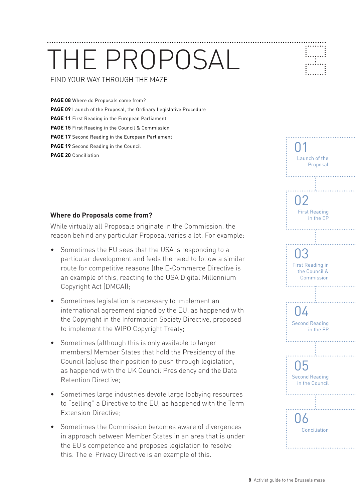## <span id="page-10-0"></span>THE PROPOSAL FIND YOUR WAY THROUGH THE MAZE

**PAGE 08** [Where do Proposals come from?](#page-10-1) **PAGE [09](#page-11-1)** Launch of the Proposal, the Ordinary Legislative Procedure **PAGE 11** [First Reading in the European Parliament](#page-13-1) **PAGE 15** [First Reading in the Council & Commission](#page-17-1) **PAGE 17** [Second Reading in the European Parliament](#page-19-1) **PAGE 19** [Second Reading in the Council](#page-21-1) **PAGE 20** [Conciliation](#page-22-1) **PAGE 20** Conciliation **Launch of the Launch of the Launch of the Launch of the Launch of the** 

#### <span id="page-10-1"></span>**Where do Proposals come from?**

While virtually all Proposals originate in the Commission, the reason behind any particular Proposal varies a lot. For example:

- Sometimes the EU sees that the USA is responding to a particular development and feels the need to follow a similar route for competitive reasons (the E-Commerce Directive is an example of this, reacting to the USA Digital Millennium Copyright Act (DMCA));
- Sometimes legislation is necessary to implement an international agreement signed by the EU, as happened with the Copyright in the Information Society Directive, proposed to implement the WIPO Copyright Treaty;
- Sometimes (although this is only available to larger members) Member States that hold the Presidency of the Council (ab)use their position to push through legislation, as happened with the UK Council Presidency and the Data Retention Directive;
- Sometimes large industries devote large lobbying resources to "selling" a Directive to the EU, as happened with the Term Extension Directive;
- Sometimes the Commission becomes aware of divergences in approach between Member States in an area that is under the EU's competence and proposes legislation to resolve this. The e-Privacy Directive is an example of this.

Proposal

. . . . . . . . . . . . . . . . . . . .

1...<sub>.</sub>...!

01

02

03

First Reading in the EP

Second Reading in the EP

በ $\Delta$ 

. . . . . . . . . . . . . .

Second Reading in the Council

05

l 16

Conciliation

First Reading in the Council & Commission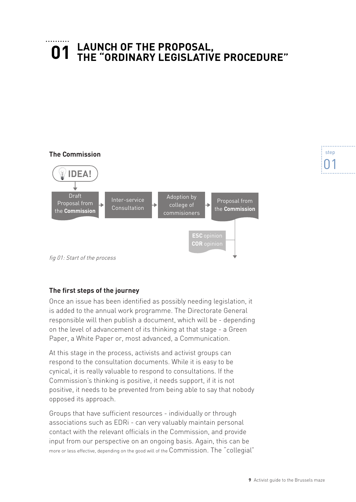### <span id="page-11-1"></span><span id="page-11-0"></span>**LAUNCH OF THE PROPOSAL, THE "ORDINARY LEGISLATIVE PROCEDURE" 01**



#### **The first steps of the journey**

Once an issue has been identified as possibly needing legislation, it is added to the annual work programme. The Directorate General responsible will then publish a document, which will be - depending on the level of advancement of its thinking at that stage - a Green Paper, a White Paper or, most advanced, a Communication.

At this stage in the process, activists and activist groups can respond to the consultation documents. While it is easy to be cynical, it is really valuable to respond to consultations. If the Commission's thinking is positive, it needs support, if it is not positive, it needs to be prevented from being able to say that nobody opposed its approach.

Groups that have sufficient resources - individually or through associations such as EDRi - can very valuably maintain personal contact with the relevant officials in the Commission, and provide input from our perspective on an ongoing basis. Again, this can be more or less effective, depending on the good will of the Commission. The "collegial"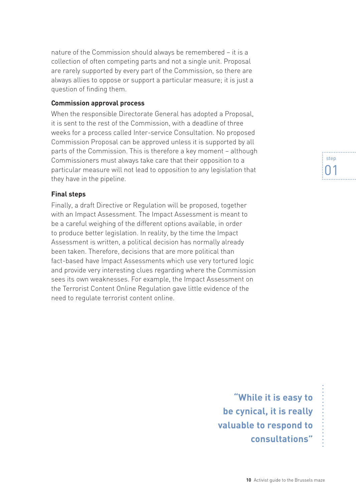nature of the Commission should always be remembered – it is a collection of often competing parts and not a single unit. Proposal are rarely supported by every part of the Commission, so there are always allies to oppose or support a particular measure; it is just a question of finding them.

#### **Commission approval process**

When the responsible Directorate General has adopted a Proposal, it is sent to the rest of the Commission, with a deadline of three weeks for a process called Inter-service Consultation. No proposed Commission Proposal can be approved unless it is supported by all parts of the Commission. This is therefore a key moment – although Commissioners must always take care that their opposition to a particular measure will not lead to opposition to any legislation that they have in the pipeline.

#### **Final steps**

Finally, a draft Directive or Regulation will be proposed, together with an Impact Assessment. The Impact Assessment is meant to be a careful weighing of the different options available, in order to produce better legislation. In reality, by the time the Impact Assessment is written, a political decision has normally already been taken. Therefore, decisions that are more political than fact-based have Impact Assessments which use very tortured logic and provide very interesting clues regarding where the Commission sees its own weaknesses. For example, the Impact Assessment on the Terrorist Content Online Regulation gave little evidence of the need to regulate terrorist content online.

step 01

**"While it is easy to be cynical, it is really valuable to respond to consultations"**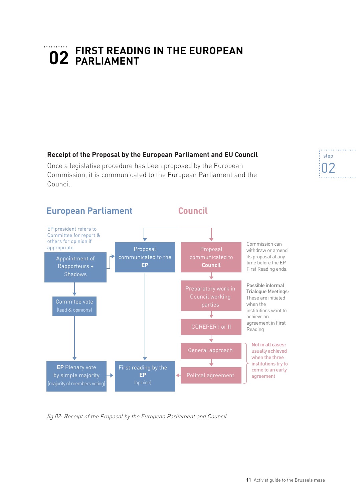### <span id="page-13-1"></span><span id="page-13-0"></span>**FIRST READING IN THE EUROPEAN 02 PARLIAMENT**

**Receipt of the Proposal by the European Parliament and EU Council**

Once a legislative procedure has been proposed by the European Commission, it is communicated to the European Parliament and the Council.



fig 02: Receipt of the Proposal by the European Parliament and Council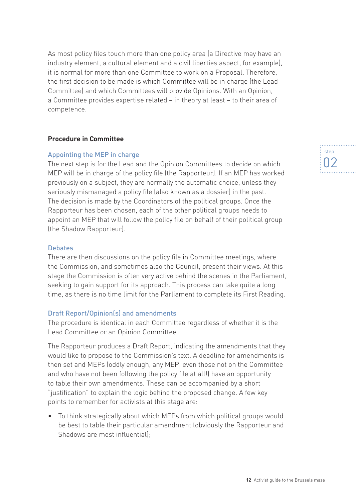As most policy files touch more than one policy area (a Directive may have an industry element, a cultural element and a civil liberties aspect, for example), it is normal for more than one Committee to work on a Proposal. Therefore, the first decision to be made is which Committee will be in charge (the Lead Committee) and which Committees will provide Opinions. With an Opinion, a Committee provides expertise related – in theory at least – to their area of competence.

#### **Procedure in Committee**

#### Appointing the MEP in charge

The next step is for the Lead and the Opinion Committees to decide on which MEP will be in charge of the policy file (the Rapporteur). If an MEP has worked previously on a subject, they are normally the automatic choice, unless they seriously mismanaged a policy file (also known as a dossier) in the past. The decision is made by the Coordinators of the political groups. Once the Rapporteur has been chosen, each of the other political groups needs to appoint an MEP that will follow the policy file on behalf of their political group (the Shadow Rapporteur).

#### **Debates**

There are then discussions on the policy file in Committee meetings, where the Commission, and sometimes also the Council, present their views. At this stage the Commission is often very active behind the scenes in the Parliament, seeking to gain support for its approach. This process can take quite a long time, as there is no time limit for the Parliament to complete its First Reading.

#### Draft Report/Opinion(s) and amendments

The procedure is identical in each Committee regardless of whether it is the Lead Committee or an Opinion Committee.

The Rapporteur produces a Draft Report, indicating the amendments that they would like to propose to the Commission's text. A deadline for amendments is then set and MEPs (oddly enough, any MEP, even those not on the Committee and who have not been following the policy file at all!) have an opportunity to table their own amendments. These can be accompanied by a short "justification" to explain the logic behind the proposed change. A few key points to remember for activists at this stage are:

• To think strategically about which MEPs from which political groups would be best to table their particular amendment (obviously the Rapporteur and Shadows are most influential);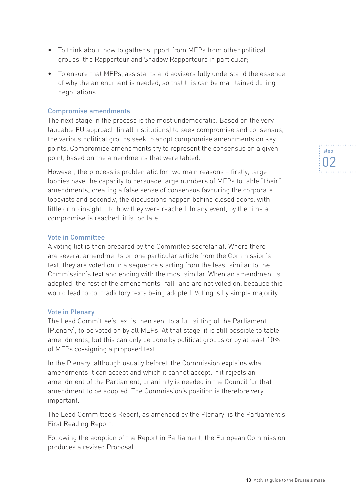- To think about how to gather support from MEPs from other political groups, the Rapporteur and Shadow Rapporteurs in particular;
- To ensure that MEPs, assistants and advisers fully understand the essence of why the amendment is needed, so that this can be maintained during negotiations.

#### Compromise amendments

The next stage in the process is the most undemocratic. Based on the very laudable EU approach (in all institutions) to seek compromise and consensus, the various political groups seek to adopt compromise amendments on key points. Compromise amendments try to represent the consensus on a given point, based on the amendments that were tabled.

However, the process is problematic for two main reasons – firstly, large lobbies have the capacity to persuade large numbers of MEPs to table "their" amendments, creating a false sense of consensus favouring the corporate lobbyists and secondly, the discussions happen behind closed doors, with little or no insight into how they were reached. In any event, by the time a compromise is reached, it is too late.

#### Vote in Committee

A voting list is then prepared by the Committee secretariat. Where there are several amendments on one particular article from the Commission's text, they are voted on in a sequence starting from the least similar to the Commission's text and ending with the most similar. When an amendment is adopted, the rest of the amendments "fall" and are not voted on, because this would lead to contradictory texts being adopted. Voting is by simple majority.

#### Vote in Plenary

The Lead Committee's text is then sent to a full sitting of the Parliament (Plenary), to be voted on by all MEPs. At that stage, it is still possible to table amendments, but this can only be done by political groups or by at least 10% of MEPs co-signing a proposed text.

In the Plenary (although usually before), the Commission explains what amendments it can accept and which it cannot accept. If it rejects an amendment of the Parliament, unanimity is needed in the Council for that amendment to be adopted. The Commission's position is therefore very important.

The Lead Committee's Report, as amended by the Plenary, is the Parliament's First Reading Report.

Following the adoption of the Report in Parliament, the European Commission produces a revised Proposal.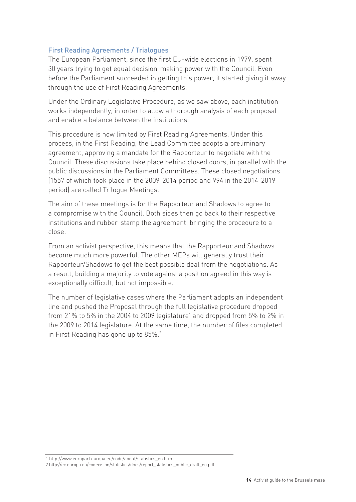#### First Reading Agreements / Trialogues

The European Parliament, since the first EU-wide elections in 1979, spent 30 years trying to get equal decision-making power with the Council. Even before the Parliament succeeded in getting this power, it started giving it away through the use of First Reading Agreements.

Under the Ordinary Legislative Procedure, as we saw above, each institution works independently, in order to allow a thorough analysis of each proposal and enable a balance between the institutions.

This procedure is now limited by First Reading Agreements. Under this process, in the First Reading, the Lead Committee adopts a preliminary agreement, approving a mandate for the Rapporteur to negotiate with the Council. These discussions take place behind closed doors, in parallel with the public discussions in the Parliament Committees. These closed negotiations (1557 of which took place in the 2009-2014 period and 994 in the 2014-2019 period) are called Trilogue Meetings.

The aim of these meetings is for the Rapporteur and Shadows to agree to a compromise with the Council. Both sides then go back to their respective institutions and rubber-stamp the agreement, bringing the procedure to a close.

From an activist perspective, this means that the Rapporteur and Shadows become much more powerful. The other MEPs will generally trust their Rapporteur/Shadows to get the best possible deal from the negotiations. As a result, building a majority to vote against a position agreed in this way is exceptionally difficult, but not impossible.

The number of legislative cases where the Parliament adopts an independent line and pushed the Proposal through the full legislative procedure dropped from 21% to 5% in the 2004 to 2009 legislature<sup>1</sup> and dropped from 5% to 2% in the 2009 to 2014 legislature. At the same time, the number of files completed in First Reading has gone up to 85%.2

[<sup>1</sup> http://www.europarl.europa.eu/code/about/statistics\\_en.htm](%20http://www.europarl.europa.eu/code/about/statistics_en.htm)

[<sup>2</sup> http://ec.europa.eu/codecision/statistics/docs/report\\_statistics\\_public\\_draft\\_en.pdf](%20http://ec.europa.eu/codecision/statistics/docs/report_statistics_public_draft_en.pdf)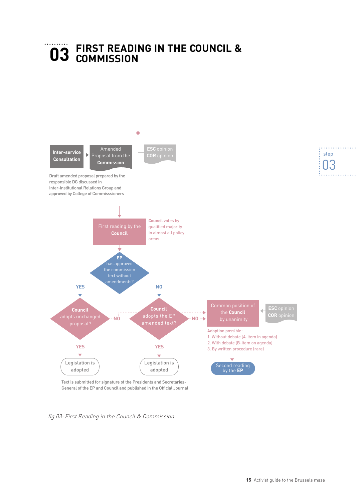## <span id="page-17-1"></span><span id="page-17-0"></span>**FIRST READING IN THE COUNCIL & 03 COMMISSION**



Text is submitted for signature of the Presidents and Secretaries-General of the EP and Council and published in the Official Journal

fig 03: First Reading in the Council & Commission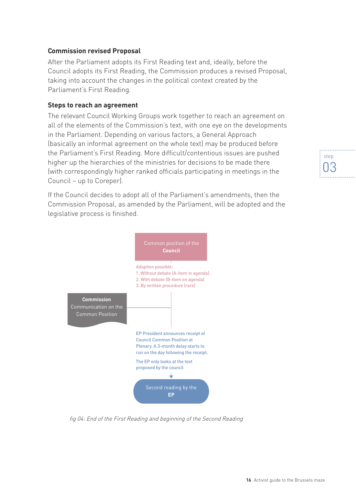#### **Commission revised Proposal**

After the Parliament adopts its First Reading text and, ideally, before the Council adopts its First Reading, the Commission produces a revised Proposal, taking into account the changes in the political context created by the Parliament's First Reading.

#### **Steps to reach an agreement**

The relevant Council Working Groups work together to reach an agreement on all of the elements of the Commission's text, with one eye on the developments in the Parliament. Depending on various factors, a General Approach (basically an informal agreement on the whole text) may be produced before the Parliament's First Reading. More difficult/contentious issues are pushed higher up the hierarchies of the ministries for decisions to be made there (with correspondingly higher ranked officials participating in meetings in the Council – up to Coreper).

If the Council decides to adopt all of the Parliament's amendments, then the Commission Proposal, as amended by the Parliament, will be adopted and the legislative process is finished.



fig 04: End of the First Reading and beginning of the Second Reading

### . . . . . . . . . . . . . . . . . . . step 03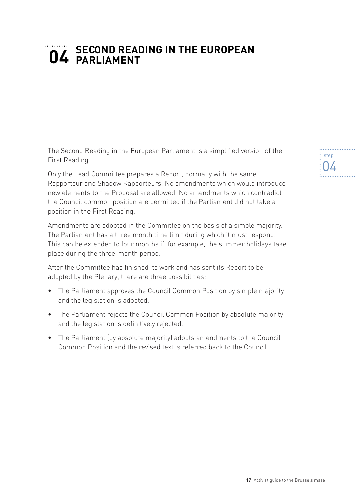## <span id="page-19-1"></span><span id="page-19-0"></span>**SECOND READING IN THE EUROPEAN PARLIAMENT**

The Second Reading in the European Parliament is a simplified version of the First Reading.

Only the Lead Committee prepares a Report, normally with the same Rapporteur and Shadow Rapporteurs. No amendments which would introduce new elements to the Proposal are allowed. No amendments which contradict the Council common position are permitted if the Parliament did not take a position in the First Reading.

Amendments are adopted in the Committee on the basis of a simple majority. The Parliament has a three month time limit during which it must respond. This can be extended to four months if, for example, the summer holidays take place during the three-month period.

After the Committee has finished its work and has sent its Report to be adopted by the Plenary, there are three possibilities:

- The Parliament approves the Council Common Position by simple majority and the legislation is adopted.
- The Parliament rejects the Council Common Position by absolute majority and the legislation is definitively rejected.
- The Parliament (by absolute majority) adopts amendments to the Council Common Position and the revised text is referred back to the Council.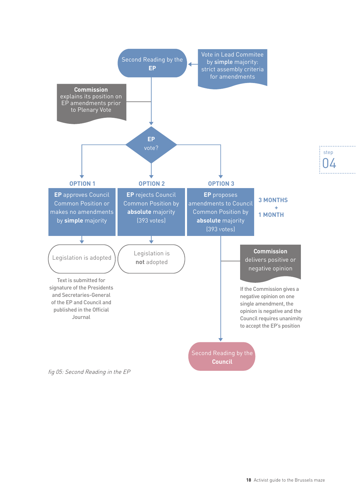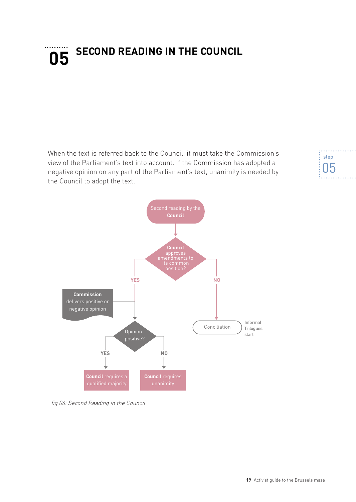## <span id="page-21-1"></span><span id="page-21-0"></span>**SECOND READING IN THE COUNCIL 05**

When the text is referred back to the Council, it must take the Commission's view of the Parliament's text into account. If the Commission has adopted a negative opinion on any part of the Parliament's text, unanimity is needed by the Council to adopt the text.



fig 06: Second Reading in the Council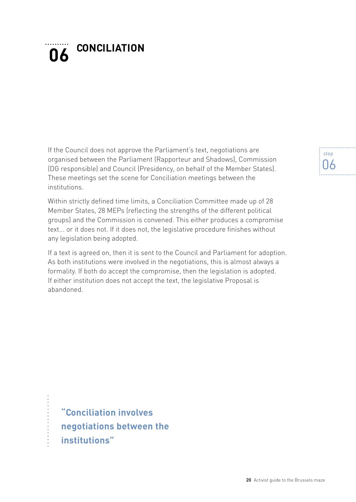## <span id="page-22-1"></span><span id="page-22-0"></span>**CONCILIATION 06**

If the Council does not approve the Parliament's text, negotiations are organised between the Parliament (Rapporteur and Shadows), Commission (DG responsible) and Council (Presidency, on behalf of the Member States). These meetings set the scene for Conciliation meetings between the institutions.

Within strictly defined time limits, a Conciliation Committee made up of 28 Member States, 28 MEPs (reflecting the strengths of the different political groups) and the Commission is convened. This either produces a compromise text... or it does not. If it does not, the legislative procedure finishes without any legislation being adopted.

If a text is agreed on, then it is sent to the Council and Parliament for adoption. As both institutions were involved in the negotiations, this is almost always a formality. If both do accept the compromise, then the legislation is adopted. If either institution does not accept the text, the legislative Proposal is abandoned.

**"Conciliation involves negotiations between the institutions"**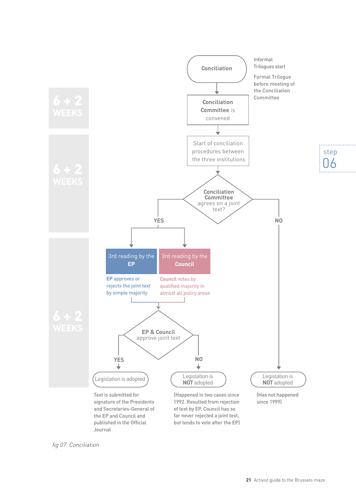

fig 07: Conciliation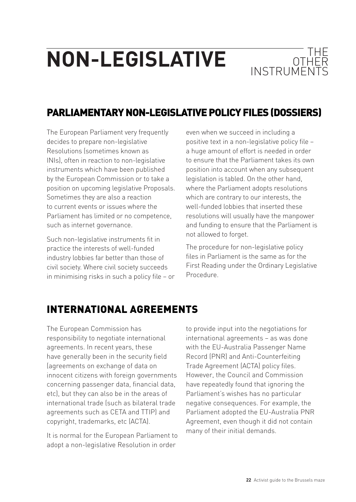## <span id="page-24-0"></span>**NON-LEGISLATIVE OTHER**



## PARLIAMENTARY NON-LEGISLATIVE POLICY FILES (DOSSIERS)

The European Parliament very frequently decides to prepare non-legislative Resolutions (sometimes known as INIs), often in reaction to non-legislative instruments which have been published by the European Commission or to take a position on upcoming legislative Proposals. Sometimes they are also a reaction to current events or issues where the Parliament has limited or no competence, such as internet governance.

Such non-legislative instruments fit in practice the interests of well-funded industry lobbies far better than those of civil society. Where civil society succeeds in minimising risks in such a policy file – or even when we succeed in including a positive text in a non-legislative policy file – a huge amount of effort is needed in order to ensure that the Parliament takes its own position into account when any subsequent legislation is tabled. On the other hand, where the Parliament adopts resolutions which are contrary to our interests, the well-funded lobbies that inserted these resolutions will usually have the manpower and funding to ensure that the Parliament is not allowed to forget.

The procedure for non-legislative policy files in Parliament is the same as for the First Reading under the Ordinary Legislative Procedure.

### INTERNATIONAL AGREEMENTS

The European Commission has responsibility to negotiate international agreements. In recent years, these have generally been in the security field (agreements on exchange of data on innocent citizens with foreign governments concerning passenger data, financial data, etc), but they can also be in the areas of international trade (such as bilateral trade agreements such as CETA and TTIP) and copyright, trademarks, etc (ACTA).

It is normal for the European Parliament to adopt a non-legislative Resolution in order

to provide input into the negotiations for international agreements – as was done with the EU-Australia Passenger Name Record (PNR) and Anti-Counterfeiting Trade Agreement (ACTA) policy files. However, the Council and Commission have repeatedly found that ignoring the Parliament's wishes has no particular negative consequences. For example, the Parliament adopted the EU-Australia PNR Agreement, even though it did not contain many of their initial demands.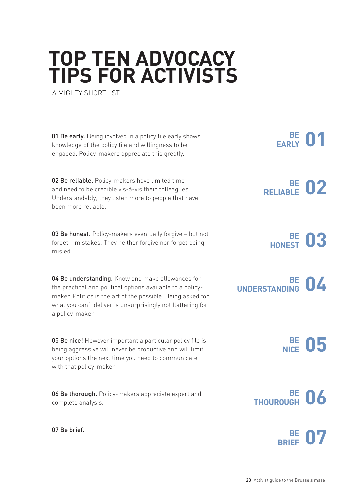## <span id="page-25-1"></span><span id="page-25-0"></span>**TOP TEN ADVOCACY TIPS FOR ACTIVISTS**

A MIGHTY SHORTLIST

01 Be early. Being involved in a policy file early shows knowledge of the policy file and willingness to be engaged. Policy-makers appreciate this greatly.

02 Be reliable. Policy-makers have limited time and need to be credible vis-à-vis their colleagues. Understandably, they listen more to people that have been more reliable.

03 Be honest. Policy-makers eventually forgive - but not forget – mistakes. They neither forgive nor forget being misled.

04 Be understanding. Know and make allowances for the practical and political options available to a policymaker. Politics is the art of the possible. Being asked for what you can't deliver is unsurprisingly not flattering for a policy-maker.

05 Be nice! However important a particular policy file is, being aggressive will never be productive and will limit your options the next time you need to communicate with that policy-maker.

06 Be thorough. Policy-makers appreciate expert and complete analysis.

07 Be brief.

**01 EARLY**

**02 BE RELIABLE**

**03 HONEST**



**05 BE NICE**



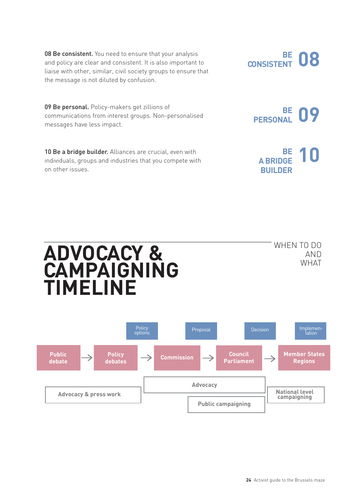08 Be consistent. You need to ensure that your analysis and policy are clear and consistent. It is also important to liaise with other, similar, civil society groups to ensure that the message is not diluted by confusion.

09 Be personal. Policy-makers get zillions of communications from interest groups. Non-personalised messages have less impact.

10 Be a bridge builder. Alliances are crucial, even with individuals, groups and industries that you compete with on other issues.

**ADVOCACY &** 

**TIMELINE**

**CAMPAIGNING** 

WHEN TO DO AND WHAT

**24** Activist guide to the Brussels maze





**CONSISTENT**

**DB**<br> **BE**<br> **DB** 

**10** 

**09 PERSONAL**

**A BRIDGE BUILDER**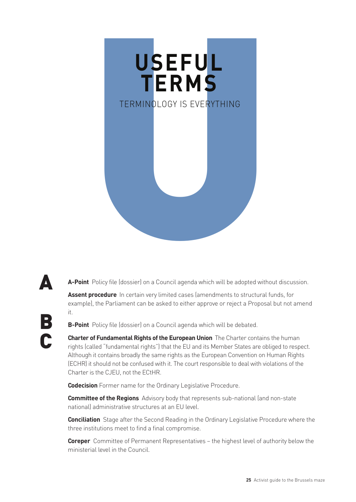<span id="page-27-0"></span>

**A-Point** Policy file (dossier) on a Council agenda which will be adopted without discussion. **Assent procedure** In certain very limited cases (amendments to structural funds, for A

example), the Parliament can be asked to either approve or reject a Proposal but not amend it.

**B-Point** Policy file (dossier) on a Council agenda which will be debated.

B

C

**Charter of Fundamental Rights of the European Union** The Charter contains the human rights (called "fundamental rights") that the EU and its Member States are obliged to respect. Although it contains broadly the same rights as the European Convention on Human Rights (ECHR) it should not be confused with it. The court responsible to deal with violations of the Charter is the CJEU, not the ECtHR.

**Codecision** Former name for the Ordinary Legislative Procedure.

**Committee of the Regions** Advisory body that represents sub-national (and non-state national) administrative structures at an EU level.

**Conciliation** Stage after the Second Reading in the Ordinary Legislative Procedure where the three institutions meet to find a final compromise.

**Coreper** Committee of Permanent Representatives – the highest level of authority below the ministerial level in the Council.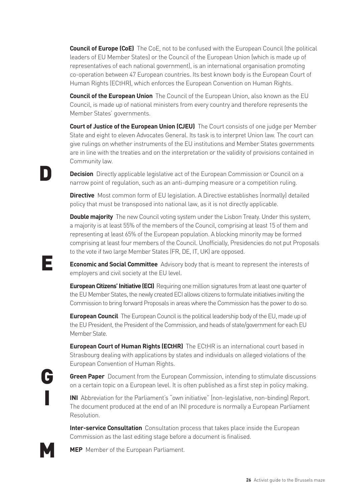**Council of Europe (CoE)** The CoE, not to be confused with the European Council (the political leaders of EU Member States) or the Council of the European Union (which is made up of representatives of each national government), is an international organisation promoting co-operation between 47 European countries. Its best known body is the European Court of Human Rights (ECtHR), which enforces the European Convention on Human Rights.

**Council of the European Union** The Council of the European Union, also known as the EU Council, is made up of national ministers from every country and therefore represents the Member States' governments.

**Court of Justice of the European Union (CJEU)** The Court consists of one judge per Member State and eight to eleven Advocates General. Its task is to interpret Union law. The court can give rulings on whether instruments of the EU institutions and Member States governments are in line with the treaties and on the interpretation or the validity of provisions contained in Community law.

**Decision** Directly applicable legislative act of the European Commission or Council on a narrow point of regulation, such as an anti-dumping measure or a competition ruling.

**Directive** Most common form of EU legislation. A Directive establishes (normally) detailed policy that must be transposed into national law, as it is not directly applicable.

**Double majority** The new Council voting system under the Lisbon Treaty. Under this system, a majority is at least 55% of the members of the Council, comprising at least 15 of them and representing at least 65% of the European population. A blocking minority may be formed comprising at least four members of the Council. Unofficially, Presidencies do not put Proposals to the vote if two large Member States (FR, DE, IT, UK) are opposed.

**Economic and Social Committee** Advisory body that is meant to represent the interests of employers and civil society at the EU level.

**European Citizens' Initiative (ECI)** Requiring one million signatures from at least one quarter of the EU Member States, the newly created ECI allows citizens to formulate initiatives inviting the Commission to bring forward Proposals in areas where the Commission has the power to do so.

**European Council** The European Council is the political leadership body of the EU, made up of the EU President, the President of the Commission, and heads of state/government for each EU Member State.

**European Court of Human Rights (ECtHR)** The ECtHR is an international court based in Strasbourg dealing with applications by states and individuals on alleged violations of the European Convention of Human Rights.

**Green Paper** Document from the European Commission, intending to stimulate discussions on a certain topic on a European level. It is often published as a first step in policy making.

**INI** Abbreviation for the Parliament's "own initiative" (non-legislative, non-binding) Report. The document produced at the end of an INI procedure is normally a European Parliament Resolution.

**Inter-service Consultation** Consultation process that takes place inside the European Commission as the last editing stage before a document is finalised.

**MEP** Member of the European Parliament.

E

D

G

I

M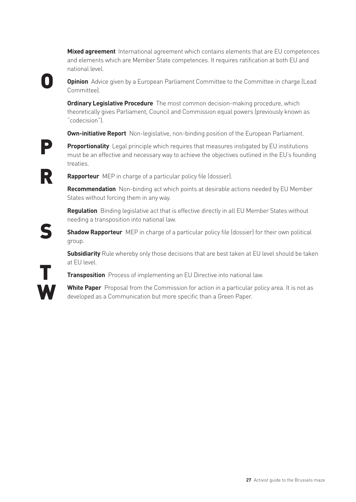**Mixed agreement** International agreement which contains elements that are EU competences and elements which are Member State competences. It requires ratification at both EU and national level.

**Opinion** Advice given by a European Parliament Committee to the Committee in charge (Lead Committee).

**Ordinary Legislative Procedure** The most common decision-making procedure, which theoretically gives Parliament, Council and Commission equal powers (previously known as "codecision").

**Own-initiative Report** Non-legislative, non-binding position of the European Parliament.

**Proportionality** Legal principle which requires that measures instigated by EU institutions must be an effective and necessary way to achieve the objectives outlined in the EU's founding treaties.

R

P

S

T

**W** 

O

**Rapporteur** MEP in charge of a particular policy file (dossier).

**Recommendation** Non-binding act which points at desirable actions needed by EU Member States without forcing them in any way.

**Regulation** Binding legislative act that is effective directly in all EU Member States without needing a transposition into national law.

**Shadow Rapporteur** MEP in charge of a particular policy file (dossier) for their own political group.

**Subsidiarity** Rule whereby only those decisions that are best taken at EU level should be taken at EU level.

**Transposition** Process of implementing an EU Directive into national law.

**White Paper** Proposal from the Commission for action in a particular policy area. It is not as developed as a Communication but more specific than a Green Paper.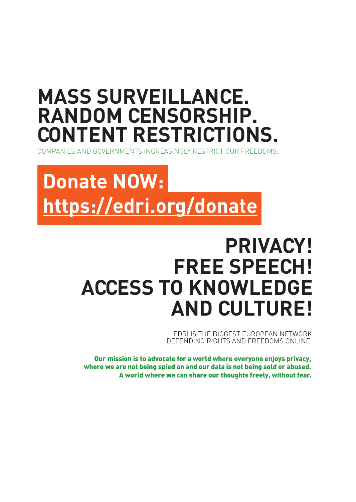## **MASS SURVEILLANCE. RANDOM CENSORSHIP. CONTENT RESTRICTIONS.**

COMPANIES AND GOVERNMENTS INCREASINGLY RESTRICT OUR FREEDOMS.

## **Donate NOW: <https://edri.org/donate>**

## **PRIVACY! FREE SPEECH! ACCESS TO KNOWLEDGE AND CULTURE!**

EDRI IS THE BIGGEST EUROPEAN NETWORK DEFENDING RIGHTS AND FREEDOMS ONLINE.

Our mission is to advocate for a world where everyone enjoys privacy, where we are not being spied on and our data is not being sold or abused. A world where we can share our thoughts freely, without fear.